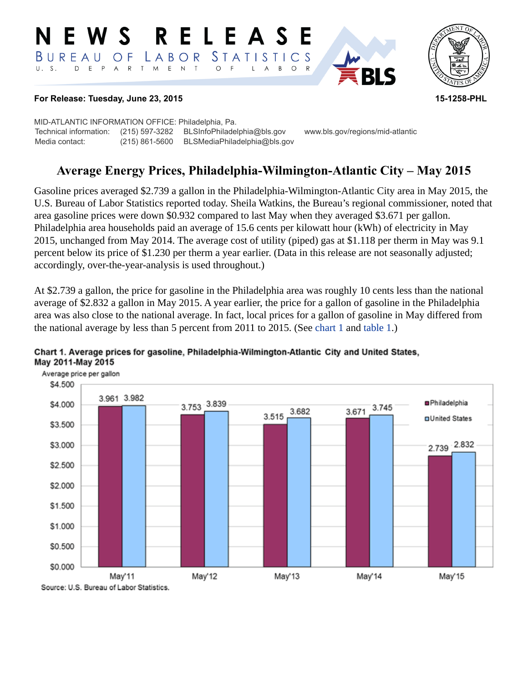#### NEWS RELEASE LABOR STATISTICS  $B$  U R E A U O F D E P A R T M E N T O F  $U. S.$  $\mathsf{L}$  $\overline{A}$  $B$  $\circ$  $\mathsf{R}$



#### **For Release: Tuesday, June 23, 2015 15-1258-PHL**

MID-ATLANTIC INFORMATION OFFICE: Philadelphia, Pa. Technical information: (215) 597-3282 BLSInfoPhiladelphia@bls.gov www.bls.gov/regions/mid-atlantic Media contact: (215) 861-5600 BLSMediaPhiladelphia@bls.gov

# **Average Energy Prices, Philadelphia-Wilmington-Atlantic City – May 2015**

Gasoline prices averaged \$2.739 a gallon in the Philadelphia-Wilmington-Atlantic City area in May 2015, the U.S. Bureau of Labor Statistics reported today. Sheila Watkins, the Bureau's regional commissioner, noted that area gasoline prices were down \$0.932 compared to last May when they averaged \$3.671 per gallon. Philadelphia area households paid an average of 15.6 cents per kilowatt hour (kWh) of electricity in May 2015, unchanged from May 2014. The average cost of utility (piped) gas at \$1.118 per therm in May was 9.1 percent below its price of \$1.230 per therm a year earlier. (Data in this release are not seasonally adjusted; accordingly, over-the-year-analysis is used throughout.)

At \$2.739 a gallon, the price for gasoline in the Philadelphia area was roughly 10 cents less than the national average of \$2.832 a gallon in May 2015. A year earlier, the price for a gallon of gasoline in the Philadelphia area was also close to the national average. In fact, local prices for a gallon of gasoline in May differed from the national average by less than 5 percent from 2011 to 2015. (See [chart 1](#page-0-0) and [table 1](#page-3-0).)



### <span id="page-0-0"></span>Chart 1. Average prices for gasoline, Philadelphia-Wilmington-Atlantic City and United States, May 2011-May 2015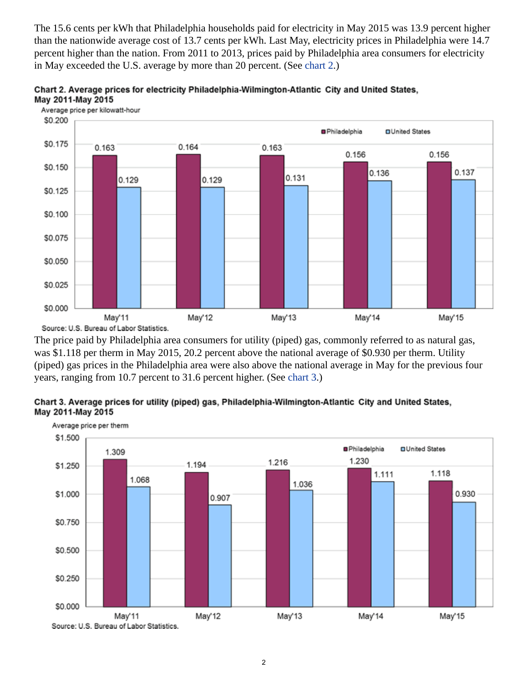The 15.6 cents per kWh that Philadelphia households paid for electricity in May 2015 was 13.9 percent higher than the nationwide average cost of 13.7 cents per kWh. Last May, electricity prices in Philadelphia were 14.7 percent higher than the nation. From 2011 to 2013, prices paid by Philadelphia area consumers for electricity in May exceeded the U.S. average by more than 20 percent. (See [chart 2.](#page-1-0))

<span id="page-1-0"></span>



The price paid by Philadelphia area consumers for utility (piped) gas, commonly referred to as natural gas, was \$1.118 per therm in May 2015, 20.2 percent above the national average of \$0.930 per therm. Utility (piped) gas prices in the Philadelphia area were also above the national average in May for the previous four years, ranging from 10.7 percent to 31.6 percent higher. (See [chart 3](#page-1-1).)

<span id="page-1-1"></span>

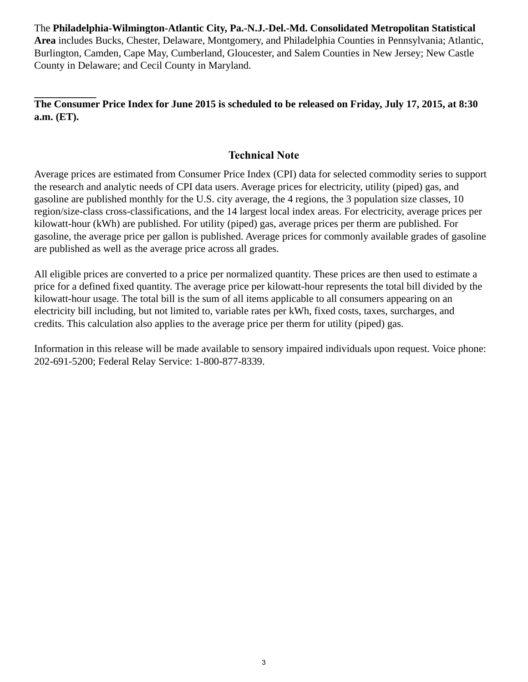The **Philadelphia-Wilmington-Atlantic City, Pa.-N.J.-Del.-Md. Consolidated Metropolitan Statistical Area** includes Bucks, Chester, Delaware, Montgomery, and Philadelphia Counties in Pennsylvania; Atlantic, Burlington, Camden, Cape May, Cumberland, Gloucester, and Salem Counties in New Jersey; New Castle County in Delaware; and Cecil County in Maryland.

## **The Consumer Price Index for June 2015 is scheduled to be released on Friday, July 17, 2015, at 8:30 a.m. (ET).**

# **Technical Note**

Average prices are estimated from Consumer Price Index (CPI) data for selected commodity series to support the research and analytic needs of CPI data users. Average prices for electricity, utility (piped) gas, and gasoline are published monthly for the U.S. city average, the 4 regions, the 3 population size classes, 10 region/size-class cross-classifications, and the 14 largest local index areas. For electricity, average prices per kilowatt-hour (kWh) are published. For utility (piped) gas, average prices per therm are published. For gasoline, the average price per gallon is published. Average prices for commonly available grades of gasoline are published as well as the average price across all grades.

All eligible prices are converted to a price per normalized quantity. These prices are then used to estimate a price for a defined fixed quantity. The average price per kilowatt-hour represents the total bill divided by the kilowatt-hour usage. The total bill is the sum of all items applicable to all consumers appearing on an electricity bill including, but not limited to, variable rates per kWh, fixed costs, taxes, surcharges, and credits. This calculation also applies to the average price per therm for utility (piped) gas.

Information in this release will be made available to sensory impaired individuals upon request. Voice phone: 202-691-5200; Federal Relay Service: 1-800-877-8339.